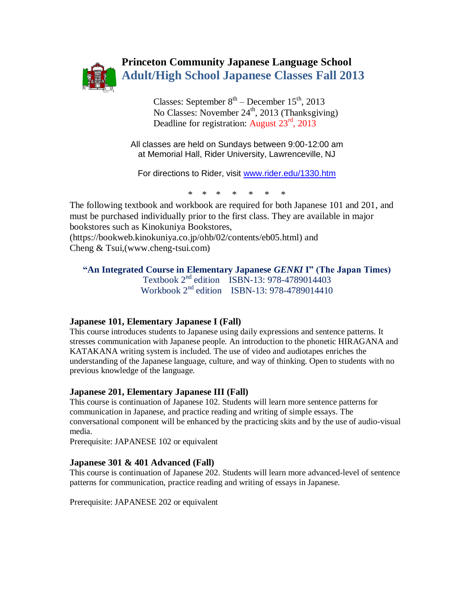

# **Princeton Community Japanese Language School Adult/High School Japanese Classes Fall 2013**

Classes: September  $8<sup>th</sup>$  – December  $15<sup>th</sup>$ , 2013 No Classes: November  $24<sup>th</sup>$ , 2013 (Thanksgiving) Deadline for registration: August 23<sup>rd</sup>, 2013

> All classes are held on Sundays between 9:00-12:00 am at Memorial Hall, Rider University, Lawrenceville, NJ

For directions to Rider, visit [www.rider.edu/1330.htm](http://www.rider.edu/1330.htm) 

\* \* \* \* \* \* \*

The following textbook and workbook are required for both Japanese 101 and 201, and must be purchased individually prior to the first class. They are available in major bookstores such as Kinokuniya Bookstores, (https://bookweb.kinokuniya.co.jp/ohb/02/contents/eb05.html) and

Cheng & Tsui,(www.cheng-tsui.com)

#### **"An Integrated Course in Elementary Japanese** *GENKI* **I" (The Japan Times)** Textbook 2<sup>nd</sup> edition ISBN-13: 978-4789014403 Workbook  $2^{nd}$  edition ISBN-13: 978-4789014410

# **Japanese 101, Elementary Japanese I (Fall)**

This course introduces students to Japanese using daily expressions and sentence patterns. It stresses communication with Japanese people. An introduction to the phonetic HIRAGANA and KATAKANA writing system is included. The use of video and audiotapes enriches the understanding of the Japanese language, culture, and way of thinking. Open to students with no previous knowledge of the language.

#### **Japanese 201, Elementary Japanese III (Fall)**

This course is continuation of Japanese 102. Students will learn more sentence patterns for communication in Japanese, and practice reading and writing of simple essays. The conversational component will be enhanced by the practicing skits and by the use of audio-visual media.

Prerequisite: JAPANESE 102 or equivalent

#### **Japanese 301 & 401 Advanced (Fall)**

This course is continuation of Japanese 202. Students will learn more advanced-level of sentence patterns for communication, practice reading and writing of essays in Japanese.

Prerequisite: JAPANESE 202 or equivalent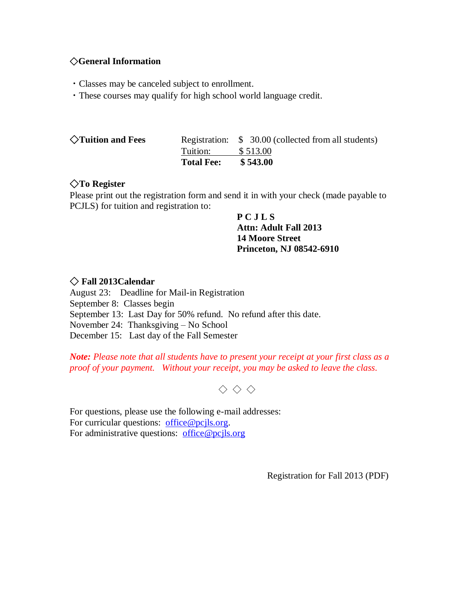# ◇**General Information**

- ・Classes may be canceled subject to enrollment.
- ・These courses may qualify for high school world language credit.

|                             | <b>Total Fee:</b> | \$543.00                                                         |
|-----------------------------|-------------------|------------------------------------------------------------------|
| $\Diamond$ Tuition and Fees | Tuition:          | Registration: \$ 30.00 (collected from all students)<br>\$513.00 |
|                             |                   |                                                                  |

# ◇**To Register**

Please print out the registration form and send it in with your check (made payable to PCJLS) for tuition and registration to:

> **P C J L S Attn: Adult Fall 2013 14 Moore Street Princeton, NJ 08542-6910**

# ◇ **Fall 2013Calendar**

August 23: Deadline for Mail-in Registration September 8: Classes begin September 13: Last Day for 50% refund. No refund after this date. November 24: Thanksgiving – No School December 15: Last day of the Fall Semester

*Note: Please note that all students have to present your receipt at your first class as a proof of your payment. Without your receipt, you may be asked to leave the class.*

 $\Diamond \Diamond \Diamond$ 

For questions, please use the following e-mail addresses: For curricular questions: [office@pcjls.org.](mailto:office@pcjls.org) For administrative questions: [office@pcjls.org](mailto:office@pcjls.org)

Registration for Fall 2013 (PDF)